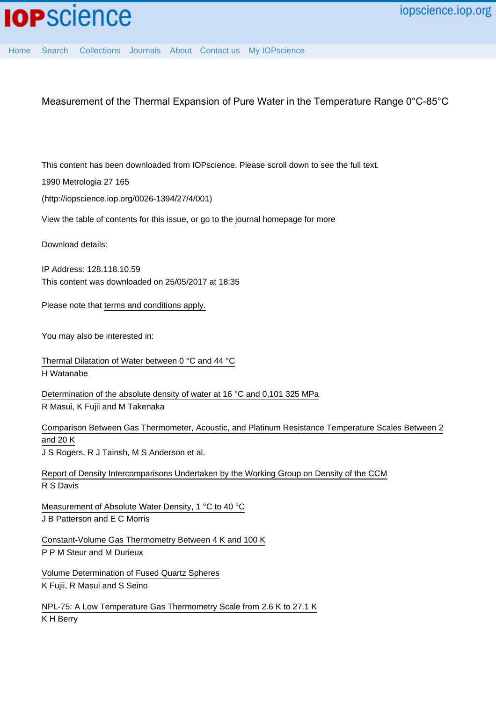[Home](http://iopscience.iop.org/) [Search](http://iopscience.iop.org/search) [Collections](http://iopscience.iop.org/collections) [Journals](http://iopscience.iop.org/journals) [About](http://iopscience.iop.org/page/aboutioppublishing) [Contact us](http://iopscience.iop.org/contact) [My IOPscience](http://iopscience.iop.org/myiopscience)

Measurement of the Thermal Expansion of Pure Water in the Temperature Range 0°C-85°C

This content has been downloaded from IOPscience. Please scroll down to see the full text.

1990 Metrologia 27 165

(http://iopscience.iop.org/0026-1394/27/4/001)

View [the table of contents for this issue](http://iopscience.iop.org/0026-1394/27/4), or go to the [journal homepage](http://iopscience.iop.org/0026-1394) for more

Download details:

IP Address: 128.118.10.59 This content was downloaded on 25/05/2017 at 18:35

Please note that [terms and conditions apply.](http://iopscience.iop.org/page/terms)

You may also be interested in:

[Thermal Dilatation of Water between 0 °C and 44 °C](http://iopscience.iop.org/article/10.1088/0026-1394/28/1/006) H Watanabe

[Determination of the absolute density of water at 16 °C and 0,101 325 MPa](http://iopscience.iop.org/article/10.1088/0026-1394/32/5/1) R Masui, K Fujii and M Takenaka

[Comparison Between Gas Thermometer, Acoustic, and Platinum Resistance Temperature Scales Between 2](http://iopscience.iop.org/article/10.1088/0026-1394/4/2/001) [and 20 K](http://iopscience.iop.org/article/10.1088/0026-1394/4/2/001)

J S Rogers, R J Tainsh, M S Anderson et al.

[Report of Density Intercomparisons Undertaken by the Working Group on Density of the CCM](http://iopscience.iop.org/article/10.1088/0026-1394/27/3/005) R S Davis

[Measurement of Absolute Water Density, 1 °C to 40 °C](http://iopscience.iop.org/article/10.1088/0026-1394/31/4/001) J B Patterson and E C Morris

[Constant-Volume Gas Thermometry Between 4 K and 100 K](http://iopscience.iop.org/article/10.1088/0026-1394/23/1/002) P P M Steur and M Durieux

[Volume Determination of Fused Quartz Spheres](http://iopscience.iop.org/article/10.1088/0026-1394/27/1/006) K Fujii, R Masui and S Seino

[NPL-75: A Low Temperature Gas Thermometry Scale from 2.6 K to 27.1 K](http://iopscience.iop.org/article/10.1088/0026-1394/15/2/006) K H Berry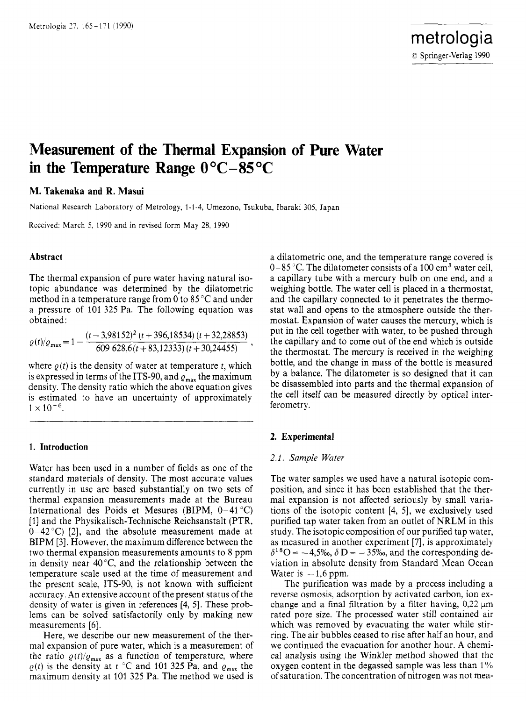# **Measurement of the Thermal Expansion of Pure Water**  in the Temperature Range  $0^{\circ}C - 85^{\circ}C$

## **M. Takenaka and R. Masui**

National Research Laboratory of Metrology, 1-1 -4, Umezono, Tsukuba, Ibaraki 305, Japan

Received: March *5.* 1990 and in revised form May **28,** 1990

## **Abstract**

The thermal expansion of pure water having natural isotopic abundance was determined by the dilatometric method in a temperature range from 0 to 85 "C and under a pressure of 101 325 Pa. The following equation was obtained :

$$
\varrho(t)/\varrho_{\text{max}} = 1 - \frac{(t - 3.98152)^2 (t + 396,18534) (t + 32,28853)}{609 628,6(t + 83,12333) (t + 30,24455)},
$$

where  $g(t)$  is the density of water at temperature *t*, which is expressed in terms of the ITS-90, and  $\varrho_{\text{max}}$  the maximum density. The density ratio which the above equation gives is estimated to have an uncertainty of approximately  $1 \times 10^{-6}$ .

# **1. Introduction**

Water has been used in a number of fields as one of the standard materials of density. The most accurate values currently in use are based substantially on two sets of thermal expansion measurements made at the Bureau International des Poids et Mesures (BIPM,  $0-41$  °C) [l] and the Physikalisch-Technische Reichsanstalt (PTR,  $0-42$  °C) [2], and the absolute measurement made at BIPM [3]. However, the maximum difference between the two thermal expansion measurements amounts to 8 ppm in density near  $40^{\circ}$ C, and the relationship between the temperature scale used at the time of measurement and the present scale, ITS-90, is not known with sufficient accuracy. An extensive account of the present status of the density of water is given in references [4, **51.** These problems can be solved satisfactorily only by making new measurements [6].

Here, we describe our new measurement of the thermal expansion of pure water, which is a measurement of the ratio  $g(t)/g_{\text{max}}$  as a function of temperature, where  $\rho(t)$  is the density at  $t C$  and 101 325 Pa, and  $\rho_{\text{max}}$  the maximum density at 101 325 Pa. The method we used is

a dilatometric one, and the temperature range covered is 0-85 °C. The dilatometer consists of a 100 cm<sup>3</sup> water cell, a capillary tube with a mercury bulb on one end, and a weighing bottle. The water cell is placed in a thermostat, and the capillary connected to it penetrates the thermostat wall and opens to the atmosphere outside the thermostat. Expansion of water causes the mercury, which is put in the cell together with water, to be pushed through the capillary and to come out of the end which is outside the thermostat. The mercury is received in the weighing bottle, and the change in mass of the bottle is measured by a balance. The dilatometer is so designed that it can be disassembled into parts and the thermal expansion of the cell itself can be measured directly by optical interferometry.

# **2. Experimental**

## *2.1. Sample Water*

The water samples we used have a natural isotopic composition, and since it has been established that the thermal expansion is not affected seriously by small variations of the isotopic content [4, 5], we exclusively used purified tap water taken from an outlet of NRLM in this study. The isotopic composition of our purified tap water, as measured in another experiment [7], is approximately  $\delta^{18}O = -4,5\%$ ,  $\delta D = -35\%$ , and the corresponding deviation in absolute density from Standard Mean Ocean Water is  $-1,6$  ppm.

The purification was made by a process including a reverse osmosis, adsorption by activated carbon, ion exchange and a final filtration by a filter having,  $0.22 \mu m$ rated pore size. The processed water still contained air which was removed by evacuating the water while stirring. The air bubbles ceased to rise after half an hour, and we continued the evacuation for another hour. **A** chemical analysis using the Winkler method showed that the oxygen content in the degassed sample was less than 1<sup>%</sup> of saturation. The concentration of nitrogen was not mea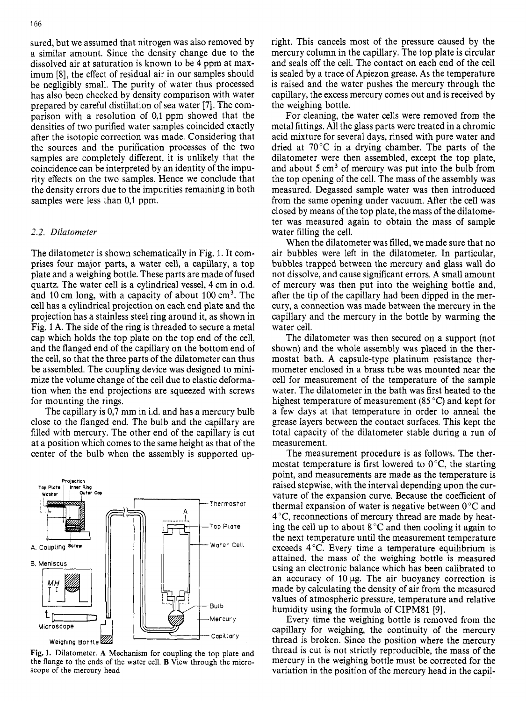sured, but we assumed that nitrogen was also removed by a similar amount. Since the density change due to the dissolved air at saturation is known to be 4 ppm at maximum **[8],** the effect of residual air in our samples should be negligibly small. The purity of water thus processed has also been checked by density comparison with water prepared by careful distillation of sea water [7]. The comparison with a resolution of 0,l ppm showed that the densities of two purified water samples coincided exactly after the isotopic correction was made. Considering that the sources and the purification processes of the two samples are completely different, it is unlikely that the coincidence can be interpreted by an identity of the impurity effects on the two samples. Hence we conclude that the density errors due to the impurities remaining in both samples were less than 0,1 ppm.

#### 2.2. *Dilatometer*

The dilatometer is shown schematically in Fig. 1. It comprises four major parts, a water cell, a capillary, a top plate and a weighing bottle. These parts are made of fused quartz. The water cell is a cylindrical vessel, 4 cm in 0.d. and 10 cm long, with a capacity of about  $100 \text{ cm}^3$ . The cell has a cylindrical projection on each end plate and the projection has a stainless steel ring around it, as shown in Fig. 1 A. The side of the ring is threaded to secure a metal cap which holds the top plate on the top end of the cell, and the flanged end of the capillary on the bottom end of the cell, so that the three parts of the dilatometer can thus be assembled. The coupling device was designed to minimize the volume change of the cell due to elastic deformation when the end projections are squeezed with screws for mounting the rings.

The capillary is 0,7 mm in i.d. and has a mercury bulb close to the flanged end. The bulb and the capillary are filled with mercury. The other end of the capillary is cut at a position which comes to the same height as that of the center of the bulb when the assembly is supported up-



**Fig. 1.** Dilatometer. **A** Mechanism for coupling the top plate and the flange to the ends of the water cell. **B** View through the microscope of the mercury head

right. This cancels most of the pressure caused by the mercury column in the capillary. The top plate is circular and seals off the cell. The contact on each end of the cell is sealed by a trace of Apiezon grease. As the temperature is raised and the water pushes the mercury through the capillary, the excess mercury comes out and is received by the weighing bottle.

For cleaning, the water cells were removed from the metal fittings. All the glass parts were treated in a chromic acid mixture for several days, rinsed with pure water and dried at 70°C in a drying chamber. The parts of the dilatometer were then assembled, except the top plate, and about *5* cm3 of mercury was put into the bulb from the top opening of the cell. The mass of the assembly was measured. Degassed sample water was then introduced from the same opening under vacuum. After the cell was closed by means of the top plate, the mass of the dilatometer was measured again to obtain the mass of sample water filling the cell.

When the dilatometer was filled, we made sure that no air bubbles were left in the dilatometer. In particular, bubbles trapped between the mercury and glass wall do not dissolve, and cause significant errors. **A** small amount of mercury was then put into the weighing bottle and, after the tip of the capillary had been dipped in the mercury, a connection was made between the mercury in the capillary and the mercury in the bottle by warming the water cell.

The dilatometer was then secured on a support (not shown) and the whole assembly was placed in the thermostat bath. A capsule-type platinum resistance thermometer enclosed in a brass tube was mounted near the cell for measurement of the temperature of the sample water. The dilatometer in the bath was first heated to the highest temperature of measurement  $(85^{\circ}C)$  and kept for a few days at that temperature in order to anneal the grease layers between the contact surfaces. This kept the total capacity of the dilatometer stable during a run of measurement.

The measurement procedure is as follows. The thermostat temperature is first lowered to  $0^{\circ}$ C, the starting point, and measurements are made as the temperature is raised stepwise, with the interval depending upon the curvature of the expansion curve. Because the coefficient of thermal expansion of water is negative between  $0^{\circ}$ C and **4** "C, reconnections of mercury thread are made by heating the cell up to about **8** "C and then cooling it again to the next temperature until the measurement temperature exceeds 4°C. Every time a temperature equilibrium is attained, the mass of the weighing bottle is measured using an electronic balance which has been calibrated to an accuracy of  $10 \mu g$ . The air buoyancy correction is made by calculating the density of air from the measured values of atmospheric pressure, temperature and relative humidity using the formula of CIPM81 *[9].* 

Every time the weighing bottle is removed from the capillary for weighing, the continuity of the mercury thread is broken. Since the position where the mercury thread is cut is not strictly reproducible, the mass of the mercury in the weighing bottle must be corrected for the variation in the position of the mercury head in the capil-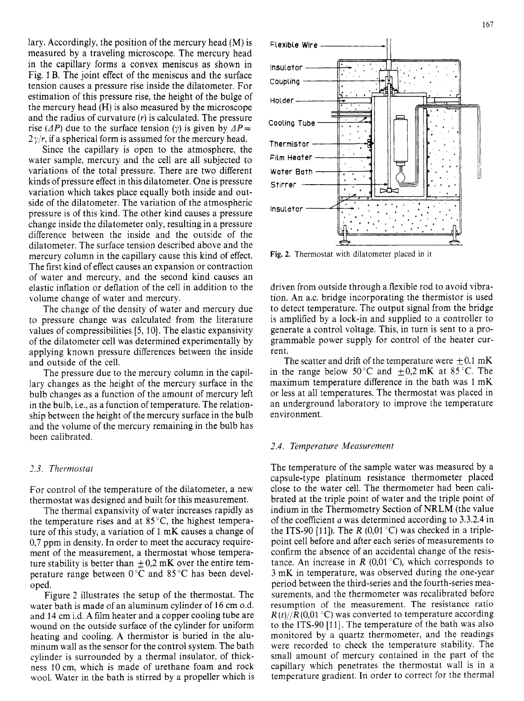lary. Accordingly, the position of the mercury head (M) is measured by a traveling microscope. The mercury head in the capillary forms a convex meniscus as shown in Fig. 1 B. The joint effect of the meniscus and the surface tension causes a pressure rise inside the dilatometer. For estimation of this pressure rise, the height of the bulge of the mercury head (H) is also measured by the microscope and the radius of curvature *(r)* is calculated. The pressure rise  $(\Delta P)$  due to the surface tension (y) is given by  $\Delta P =$  $2\gamma/r$ , if a spherical form is assumed for the mercury head.

Since the capillary is open to the atmosphere, the water sample, mercury and the cell are all subjected to variations of the total pressure. There are two different kinds of pressure effect in this dilatometer. One is pressure variation which takes place equally both inside and outside of the dilatometer. The variation of the atmospheric pressure is of this kind. The other kind causes a pressure change inside the dilatometer only, resulting in a pressure difference between the inside and the outside of the dilatometer. The surface tension described above and the mercury column in the capillary cause this kind of effect. The first kind of effect causes an expansion or contraction of water and mercury, and the second kind causes an elastic inflation or deflation of the cell in addition to the volume change of water and mercury.

The change of the density of water and mercury due to pressure change was calculated from the literature values of compressibilities *[5,* lo]. The elastic expansivity of the dilatometer cell was determined experimentally by applying known pressure differences between the inside and outside of the cell.

The pressure due to the mercury column in the capillary changes as the height of the mercury surface in the bulb changes as a function of the amount of mercury left in the bulb, i.e., as a function of temperature. The relationship between the height of the mercury surface in the bulb and the volume of the mercury remaining in the bulb has been calibrated.

# *2.3. Thermostat*

For control of the temperature of the dilatometer, a new thermostat was designed and built for this measurement.

The thermal expansivity of water increases rapidly as the temperature rises and at  $85^{\circ}$ C, the highest temperature of this study, a variation of 1 mK causes a change of 0,7 ppm in density. In order to meet the accuracy requirement of the measurement, a thermostat whose temperature stability is better than  $\pm 0.2$  mK over the entire temperature range between 0°C and 85°C has been developed.

Figure 2 illustrates the setup of the thermostat. The water bath is made of an aluminum cylinder of 16 cm 0.d. and 14 cm i.d. **A** film heater and a copper cooling tube are wound on the outside surface of the cylinder for uniform heating and cooling. A thermistor is buried in the aluminum wall as the sensor for the control system. The bath cylinder is surrounded by a thermal insulator, of thickness IOcm, which is made of urethane foam and rock wool. Water in the bath is stirred by a propeller which is



**Fig. 2.** Thermostat with dilatometer placed in it

driven from outside through a flexible rod to avoid vibration. **An** a.c. bridge incorporating the thermistor is used to detect temperature. The output signal from the bridge is amplified by a lock-in and supplied to a controller to generate a control voltage. This, in turn is sent to a programmable power supply for control of the heater current.

The scatter and drift of the temperature were  $\pm 0.1$  mK in the range below 50<sup>°</sup>C and  $\pm$ 0,2 mK at 85<sup>°</sup>C. The maximum temperature difference in the bath was 1 mK or less at all temperatures. The thermostat was placed in an underground laboratory to improve the temperature environment.

#### *2.4. Temperature Measurement*

The temperature of the sample water was measured by a capsule-type platinum resistance thermometer placed close to the water cell. The thermometer had been calibrated at the triple point of water and the triple point of indium in the Thermometry Section of NRLM (the value of the coefficient *a* was determined according to 3.3.2.4 in the ITS-90 [11]). The  $R$  (0,01 °C) was checked in a triplepoint cell before and after each series of measurements to confirm the absence of an accidental change of the resistance. An increase in  $R$  (0,01 °C), which corresponds to 3 mK in temperature, was observed during the one-year period between the third-series and the fourth-series measurements, and the thermometer was recalibrated before resumption of the measurement. The resistance ratio  $R(t)/R(0,01 \degree C)$  was converted to temperature according to the ITS-90 [11]. The temperature of the bath was also monitored by a quartz thermometer, and the readings were recorded to check the temperature stability. The small amount of mercury contained in the part of the capillary which penetrates the thermostat wall is in a temperature gradient. In order to correct for the thermal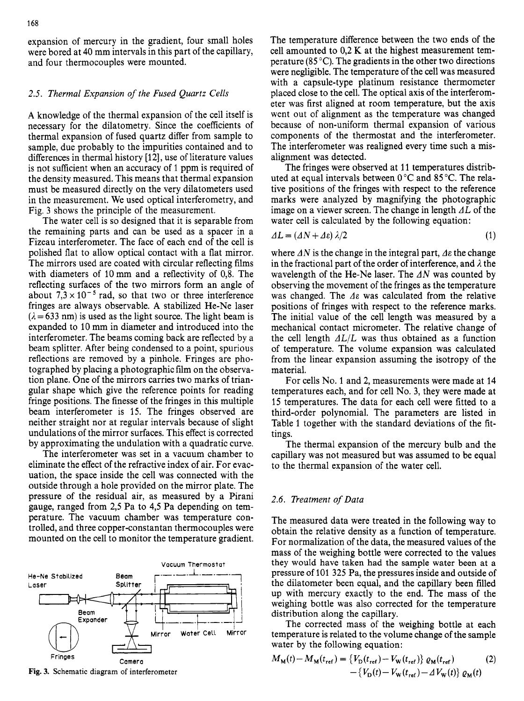expansion of mercury in the gradient, four small holes were bored at 40 mm intervals in this part of the capillary, and four thermocouples were mounted.

#### 2.5. *Thermal Expansion of the Fused Quartz Cells*

**A** knowledge of the thermal expansion of the cell itself is necessary for the dilatometry. Since the coefficients of thermal expansion of fused quartz differ from sample to sample, due probably to the impurities contained and to differences in thermal history [12], use of literature values is not suficient when an accuracy of 1 ppm is required of the density measured. This means that thermal expansion must be measured directly on the very dilatometers used in the measurement. We used optical interferometry, and Fig. 3 shows the principle of the measurement.

The water cell is so designed that it is separable from the remaining parts and can be used as a spacer in a Fizeau interferometer. The face of each end of the cell is polished flat to allow optical contact with a flat mirror. The mirrors used are coated with circular reflecting films with diameters of 10 mm and a reflectivity of 0,8. The reflecting surfaces of the two mirrors form an angle of about  $7.3 \times 10^{-5}$  rad, so that two or three interference fringes are always observable. **A** stabilized He-Ne laser  $(\lambda = 633 \text{ nm})$  is used as the light source. The light beam is expanded to 10 mm in diameter and introduced into the interferometer. The beams coming back are reflected by a beam splitter. After being condensed to a point, spurious reflections are removed by a pinhole. Fringes are photographed by placing a photographic film on the observation plane. One of the mirrors carries two marks of triangular shape which give the reference points for reading fringe positions. The finesse of the fringes in this multiple beam interferometer is 15. The fringes observed are neither straight nor at regular intervals because of slight undulations of the mirror surfaces. This effect is corrected by approximating the undulation with a quadratic curve.

The interferometer was set in a vacuum chamber to eliminate the effect of the refractive index of air. For evacuation, the space inside the cell was connected with the outside through a hole provided on the mirror plate. The pressure of the residual air, as measured by a Pirani gauge, ranged from 2,5 Pa to 4,5 Pa depending on temperature. The vacuum chamber was temperature controlled, and three copper-constantan thermocouples were mounted on the cell to monitor the temperature gradient.



**Fig. 3.** Schematic diagram of interferometer

The temperature difference between the two ends of the cell amounted to **0,2** K at the highest measurement temperature (85 $^{\circ}$ C). The gradients in the other two directions were negligible. The temperature of the cell was measured with a capsule-type platinum resistance thermometer placed close to the cell. The optical axis of the interferometer was first aligned at room temperature, but the axis went out of alignment as the temperature was changed because of non-uniform thermal expansion of various components of the thermostat and the interferometer. The interferometer was realigned every time such a misalignment was detected.

The fringes were observed at 11 temperatures distributed at equal intervals between  $0^{\circ}$ C and  $85^{\circ}$ C. The relative positions of the fringes with respect to the reference marks were analyzed by magnifying the photographic image on a viewer screen. The change in length *AL* of the water cell is calculated by the following equation:

$$
\Delta L = (\Delta N + \Delta \varepsilon) \lambda / 2 \tag{1}
$$

where  $\Delta N$  is the change in the integral part,  $\Delta \varepsilon$  the change in the fractional part of the order of interference, and *A* the wavelength of the He-Ne laser. The *AN* was counted by observing the movement of the fringes as the temperature was changed. The  $\Delta \varepsilon$  was calculated from the relative positions of fringes with respect to the reference marks. The initial value of the cell length was measured by a mechanical contact micrometer. The relative change of the cell length  $AL/L$  was thus obtained as a function of temperature. The volume expansion was calculated from the linear expansion assuming the isotropy of the material.

For cells No. 1 and **2,** measurements were made at 14 temperatures each, and for cell No. 3, they were made at 15 temperatures. The data for each cell were fitted to a third-order polynomial. The parameters are listed in Table 1 together with the standard deviations of the fittings.

The thermal expansion of the mercury bulb and the capillary was not measured but was assumed to be equal to the thermal expansion of the water cell.

## *2.6. Treatment of Data*

The measured data were treated in the following way to obtain the relative density as a function of temperature. For normalization of the data, the measured values of the mass of the weighing bottle were corrected to the values they would have taken had the sample water been at a pressure of 101 325 Pa, the pressures inside and outside of the dilatometer been equal, and the capillary been filled up with mercury exactly to the end. The mass of the weighing bottle was also corrected for the temperature distribution along the capillary.

The corrected mass of the weighing bottle at each temperature is related to the volume change of the sample water by the following equation:

$$
M_{\rm M}(t) - M_{\rm M}(t_{\rm ref}) = \{V_{\rm D}(t_{\rm ref}) - V_{\rm W}(t_{\rm ref})\} \varrho_{\rm M}(t_{\rm ref})
$$
  
 
$$
- \{V_{\rm D}(t) - V_{\rm W}(t_{\rm ref}) - \Delta V_{\rm W}(t)\} \varrho_{\rm M}(t)
$$
 (2)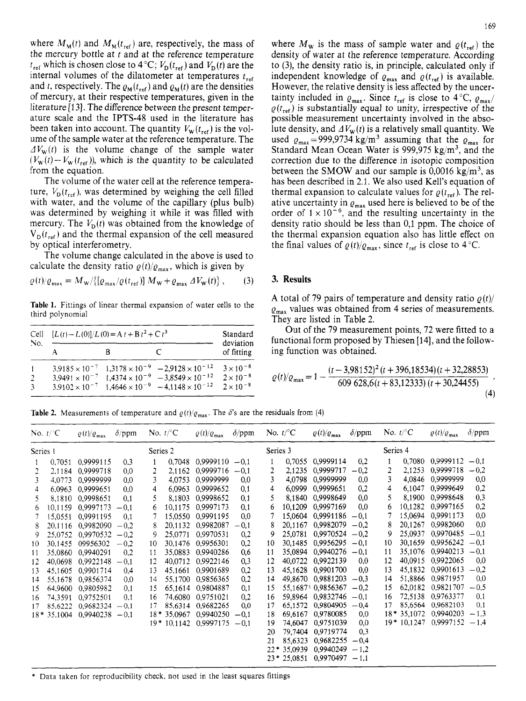where  $M_M(t)$  and  $M_M(t_{ref})$  are, respectively, the mass of the mercury bottle at *t* and at the reference temperature  $t_{ref}$  which is chosen close to 4 °C;  $V_{\text{D}}(t_{ref})$  and  $V_{\text{D}}(t)$  are the internal volumes of the dilatometer at temperatures  $t_{ref}$ and *t*, respectively. The  $\varrho_{\mathbf{M}}(t_{ref})$  and  $\varrho_{\mathbf{M}}(t)$  are the densities of mercury, at their respective temperatures, given in the literature [13]. The difference between the present temperature scale and the IPTS-48 used in the literature has been taken into account. The quantity  $V_w(t_{ref})$  is the volume of the sample water at the reference temperature. The  $\Delta V_{\text{w}}(t)$  is the volume change of the sample water  $(V_{\text{w}}(t) - V_{\text{w}}(t_{\text{ref}}))$ , which is the quantity to be calculated from the equation.

The volume of the water cell at the reference temperature,  $V_{\text{D}}(t_{\text{ref}})$ , was determined by weighing the cell filled with water, and the volume of the capillary (plus bulb) was determined by weighing it while it was filled with mercury. The  $V<sub>D</sub>(t)$  was obtained from the knowledge of  $V<sub>D</sub>(t<sub>ref</sub>)$  and the thermal expansion of the cell measured by optical interferometry.

The volume change calculated in the above is used to calculate the density ratio  $\rho(t)/\rho_{max}$ , which is given by

$$
\varrho(t)/\varrho_{\text{max}} = M_{\text{w}} / \{ [\varrho_{\text{max}}/\varrho(t_{\text{ref}})] M_{\text{w}} + \varrho_{\text{max}} \Delta V_{\text{w}}(t) \}, \qquad (3)
$$

**Table 1.** Fittings of linear thermal expansion of water cells to the third polynomial

| Cell<br>No. | $[L(t)-L(0)]/L(0) = A t + B t^2 + C t^3$                                      | Standard                                           |                                                                                                             |                                                                |
|-------------|-------------------------------------------------------------------------------|----------------------------------------------------|-------------------------------------------------------------------------------------------------------------|----------------------------------------------------------------|
|             |                                                                               | к                                                  | C                                                                                                           | deviation<br>of fitting                                        |
| 2<br>3      | $3.9185 \times 10^{-7}$<br>$3.9491 \times 10^{-7}$<br>$3.9102 \times 10^{-7}$ | $1.3178 \times 10^{-9}$<br>$1.4374 \times 10^{-9}$ | $-2.9128 \times 10^{-12}$<br>$-3,8549 \times 10^{-12}$<br>$1,4646 \times 10^{-9}$ $-4,1148 \times 10^{-12}$ | $3 \times 10^{-8}$<br>$2 \times 10^{-8}$<br>$2 \times 10^{-8}$ |

where  $M_w$  is the mass of sample water and  $\rho(t_{ref})$  the density of water at the reference temperature. According to (3), the density ratio is, in principle, calculated only if independent knowledge of  $\varrho_{\text{max}}$  and  $\varrho(t_{\text{ref}})$  is available. However, the relative density is less affected by the uncertainty included in  $\varrho_{\text{max}}$ . Since  $t_{\text{ref}}$  is close to 4 °C,  $\varrho_{\text{max}}/$  $\rho(t_{ref})$  is substantially equal to unity, irrespective of the possible measurement uncertainty involved in the absolute density, and  $\Delta V_w(t)$  is a relatively small quantity. We used  $\varrho_{\text{max}} = 999,9734 \text{ kg/m}^3$  assuming that the  $\varrho_{\text{max}}$  for Standard Mean Ocean Water is 999,975 kg/m<sup>3</sup>, and the correction due to the difference in isotopic composition between the SMOW and our sample is 0,0016 kg/m<sup>3</sup>, as has been described in 2.1. We also used Kell's equation of thermal expansion to calculate values for  $q(t_{ref})$ . The relative uncertainty in  $\varrho_{\text{max}}$  used here is believed to be of the order of  $1 \times 10^{-6}$ , and the resulting uncertainty in the density ratio should be less than 0,1 ppm. The choice of the thermal expansion equation also has little effect on the final values of  $\rho(t)/\rho_{\text{max}}$ , since  $t_{ref}$  is close to 4 °C.

#### **3. Results**

A total of 79 pairs of temperature and density ratio  $\rho(t)$  $\rho_{\text{max}}$  values was obtained from 4 series of measurements. They are listed in Table 2.

Out of the 79 measurement points, 72 were fitted to a functional form proposed by Thiesen [14], and the following function was obtained.

$$
\varrho(t)/\varrho_{\text{max}} = 1 - \frac{(t - 3.98152)^2 (t + 396,18534)(t + 32,28853)}{609\ 628,6(t + 83,12333)(t + 30,24455)}.
$$
\n(4)

**Table 2.** Measurements of temperature and  $\varrho(t)/\varrho_{\text{max}}$ . The  $\delta$ 's are the residuals from (4)

|                 | No. t/ ${}^{\circ}$ C. | $\varrho(t)/\varrho_{\rm max}$ | $\delta$ /ppm |    | No. $t/\text{C}$ | $\varrho(t)/\varrho_{\rm max}$ | $\delta$ /ppm |       | No. $t$ <sup>o</sup> C | $\varrho(t)/\varrho_{\rm max}$ | $\delta$ /ppm |    | No. $t^{\circ}C$ | $\varrho(t)/\varrho_{\rm max}$ | $\delta/\text{ppm}$ |
|-----------------|------------------------|--------------------------------|---------------|----|------------------|--------------------------------|---------------|-------|------------------------|--------------------------------|---------------|----|------------------|--------------------------------|---------------------|
| Series 1        |                        |                                |               |    | Series 2         |                                | Series 3      |       |                        |                                | Series 4      |    |                  |                                |                     |
|                 | 0,7051                 | 0,9999115                      | 0.3           |    | 0,7048           | $0,9999110 - 0,1$              |               | 1     | 0,7055                 | 0,9999114                      | 0,2           | 1  |                  | 0,7080 0,9999112               | $-0.1$              |
|                 | 2.1184                 | 0.9999718                      | 0,0           |    | 2,1162           | 0,9999716                      | $-0.1$        | 2     | 2,1235                 | 0,9999717                      | $-0,2$        | 2  | 2,1253           | 0.9999718                      | $-0.2$              |
| 3               | 4,0773                 | 0,9999999                      | 0.0           | 3  | 4.0753           | 0,9999999                      | 0,0           | 3     | 4,0798                 | 0.9999999                      | 0,0           | 3  | 4,0846           | 0.9999999                      | 0,0                 |
| 4               | 6.0963                 | 0.9999651                      | 0.0           | 4  | 6.0963           | 0.9999652                      | 0,1           | 4     | 6,0999                 | 0,9999651                      | 0,2           | 4  | 6,1047           | 0.9999649                      | 0,2                 |
| 5.              | 8,1810                 | 0.9998651                      | 0,1           |    | 8.1803           | 0.9998652                      | 0,1           | 5.    | 8,1840                 | 0,9998649                      | 0,0           | 5  | 8,1900           | 0.9998648                      | 0,3                 |
| 6               | 10,1159                | 0,9997173                      | $-0.1$        | 6  | 10,1175          | 0.9997173                      | 0,1           | 6     | 10,1209                | 0,9997169                      | 0.0           | 6  | 10,1282          | 0.9997165                      | 0,2                 |
|                 | 15.0551                | 0.9991195                      | 0,1           |    | 15,0550          | 0.9991195                      | 0,0           | 7     | 15.0604                | 0.9991186                      | $-0.1$        |    | 15.0694          | 0.9991173                      | 0,0                 |
| 8               | 20.1116                | 0.9982090                      | $-0.2$        |    | 20,1132          | 0.9982087                      | $-0,1$        | 8     | 20.1167                | 0.9982079                      | $-0.2$        | 8  | 20,1267          | 0,9982060                      | 0,0                 |
| 9.              | 25,0752                | 0.9970532                      | $-0.2$        | 9  | 25,0771          | 0.9970531                      | 0,2           | 9     | 25.0781                | 0.9970524                      | $-0.2$        | 9  | 25,0937          | 0.9970485                      | $-0.1$              |
| 10              | 30.1455                | 09956302                       | $-0.2$        | 10 |                  | 30,1476 0,9956301              | 0,2           | 10    | 30,1485                | 0.9956295                      | $-0.1$        | 10 | 30.1659          | 0,9956242                      | $-0.1$              |
| 11              | 35,0860                | 0,9940291                      | 0.2           | 11 | 35,0883          | 0.9940286                      | 0,6           | 11    | 35,0894                | $0,9940276 - 0,1$              |               | 11 |                  | 35,1076 0,9940213              | $-0.1$              |
| 12              | 40,0698                | 0.9922148                      | $-0.1$        | 12 | 40,0712          | 0.9922146                      | 0,3           | 12    | 40.0722                | 0,9922139                      | $0.0\,$       | 12 | 40,0915          | 0,9922065                      | 0,0                 |
| 13              | 45,1605                | 0,9901714                      | 0.4           | 13 | 45.1661          | 0.9901689                      | 0,2           | 13    | 45.1628                | 0,9901700                      | 0.0           | 13 | 45,1832          | 0,9901613                      | $-0,2$              |
| 14              | 55,1678                | 0.9856374                      | 0.0           | 14 | 55,1700          | 0.9856365                      | 0,2           | 14    | 49,8670                | 0,9881203                      | $-0.3$        | 14 |                  | 51,8866 0,9871957              | 0.0                 |
| 15              | 64,9600                | 0,9805982                      | 0.1           | 15 | 65.1614          | 0,9804887                      | 0,1           | 15    |                        | $55.1687$ 0.9856367 - 0.2      |               | 15 | 62,0182          | 0,9821707                      | $-0.5$              |
| 16              | 74,3591                | 0.9752501                      | 0.1           | 16 |                  | 74,6080 0,9751021              | 0,2           | 16    | 59.8964                | 0.9832746                      | $-0.1$        | 16 | 72,5138          | 0.9763377                      | 0,1                 |
| 17 <sup>7</sup> | 85,6222                | 0.9682324                      | $-0.1$        | 17 | 85,6314          | 0,9682265                      | 0,0           | 17    | 65.1572                | 0,9804905                      | $-0.4$        | 17 | 85,6564          | 0,9682103                      | 0.1                 |
|                 | $18 * 35,1004$         | $0.9940238 - 0.1$              |               |    | $18*35.0967$     | 0.9940250                      | $-0.1$        | 18    | 69,6167                | 0.9780085                      | 0,0           |    | $18*35,1072$     | 0,9940203                      | $-1.3$              |
|                 |                        |                                |               |    | 19 * 10,1142     | 0.9997175                      | $-0.1$        | 19    | 74,6047                | 0,9751039                      | 0,0           |    | $19*10,1247$     | 0.9997152                      | $-1.4$              |
|                 |                        |                                |               |    |                  |                                |               | 20    | 79,7404                | 0,9719774                      | 0,3           |    |                  |                                |                     |
|                 |                        |                                |               |    |                  |                                |               | 21    | 85,6323                | $0.9682255 - 0.4$              |               |    |                  |                                |                     |
|                 |                        |                                |               |    |                  |                                |               | $22*$ | 35,0939                | 0,9940249                      | $-1.2$        |    |                  |                                |                     |
|                 |                        |                                |               |    |                  |                                |               |       |                        | $23 * 25,0851$ 0,9970497 -1,1  |               |    |                  |                                |                     |
|                 |                        |                                |               |    |                  |                                |               |       |                        |                                |               |    |                  |                                |                     |

\* Datd taken for reproduclblhty check, not used **In** the least squares fittings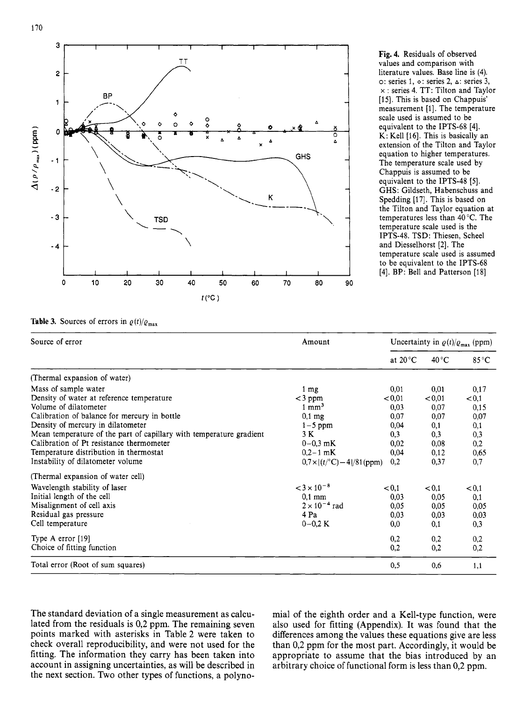

**Fig. 4.** Residuals of observed values and comparison with literature values. Base line is (4). *0:* series 1, *0:* series 2, **A:** series 3, x : series 4. TT: Tilton and Taylor [15]. This is based on Chappuis' measurement [1]. The temperature scale used is assumed to be equivalent to the IPTS-68 [4]. K: Kell [16]. This is basically an extension of the Tilton and Taylor equation to higher temperatures. The temperature scale used by Chappuis is assumed to be equivalent to the IPTS-48 *[5].*  GHS: Gildseth, Habenschuss and Spedding [17]. This is based on the Tilton and Taylor equation at temperatures less than 40 "C. The temperature scale used is the IPTS-48. TSD: Thiesen, Scheel and Diesselhorst [2]. The temperature scale used is assumed to be equivalent to the IPTS-68 **[4].** BP: Bell and Patterson [18]

|  |  |  |  |  | <b>Table 3.</b> Sources of errors in $\varrho(t)/\varrho_{\text{max}}$ |
|--|--|--|--|--|------------------------------------------------------------------------|
|--|--|--|--|--|------------------------------------------------------------------------|

| Source of error                                                     | Amount                            |                   | Uncertainty in $\varrho(t)/\varrho_{\text{max}}$ (ppm) |                |  |  |
|---------------------------------------------------------------------|-----------------------------------|-------------------|--------------------------------------------------------|----------------|--|--|
|                                                                     |                                   | at $20^{\circ}$ C | $40^{\circ}$ C                                         | $85^{\circ}$ C |  |  |
| (Thermal expansion of water)                                        |                                   |                   |                                                        |                |  |  |
| Mass of sample water                                                | $1 \text{ mg}$                    | 0,01              | 0,01                                                   | 0,17           |  |  |
| Density of water at reference temperature                           | $<$ 3 ppm                         | < 0.01            | < 0.01                                                 | ${<}0.1$       |  |  |
| Volume of dilatometer                                               | $1 \text{ mm}^3$                  | 0,03              | 0,07                                                   | 0,15           |  |  |
| Calibration of balance for mercury in bottle                        | $0.1 \text{ mg}$                  | 0,07              | 0,07                                                   | 0.07           |  |  |
| Density of mercury in dilatometer                                   | $1-5$ ppm                         | 0,04              | 0,1                                                    | 0,1            |  |  |
| Mean temperature of the part of capillary with temperature gradient | 3 K                               | 0,3               | 0,3                                                    | 0,3            |  |  |
| Calibration of Pt resistance thermometer                            | $0 - 0.3$ mK                      | 0.02              | 0.08                                                   | 0,2            |  |  |
| Temperature distribution in thermostat                              | $0.2 - 1$ mK                      | 0,04              | 0,12                                                   | 0,65           |  |  |
| Instability of dilatometer volume                                   | $0.7 \times (t/°C) - 4!/81$ (ppm) | 0,2               | 0,37                                                   | 0,7            |  |  |
| (Thermal expansion of water cell)                                   |                                   |                   |                                                        |                |  |  |
| Wavelength stability of laser                                       | $<$ 3 $\times$ 10 <sup>-8</sup>   | < 0.1             | < 0.1                                                  | < 0.1          |  |  |
| Initial length of the cell                                          | $0,1$ mm                          | 0,03              | 0.05                                                   | 0,1            |  |  |
| Misalignment of cell axis                                           | $2 \times 10^{-4}$ rad            | 0,05              | 0,05                                                   | 0,05           |  |  |
| Residual gas pressure                                               | 4 Pa                              | 0,03              | 0,03                                                   | 0,03           |  |  |
| Cell temperature                                                    | $0 - 0.2$ K                       | 0,0               | 0,1                                                    | 0,3            |  |  |
| Type A error [19]                                                   |                                   | 0,2               | 0,2                                                    | 0,2            |  |  |
| Choice of fitting function                                          |                                   | 0,2               | 0,2                                                    | 0,2            |  |  |
| Total error (Root of sum squares)                                   |                                   | 0,5               | 0,6                                                    | 1,1            |  |  |

The standard deviation of a single measurement as calculated from the residuals is 0,2 ppm. The remaining seven points marked with asterisks in Table *2* were taken to check overall reproducibility, and were not used for the fitting. The information they carry has been taken into account in assigning uncertainties, as will be described in the next section. Two other types of functions, a polyno-

mial of the eighth order and a Kell-type function, were also used for fitting (Appendix). It was found that the differences among the values these equations give are less than 0,2 ppm for the most part. Accordingly, it would be appropriate to assume that the bias introduced by an arbitrary choice of functional form is less than 0,2 ppm.